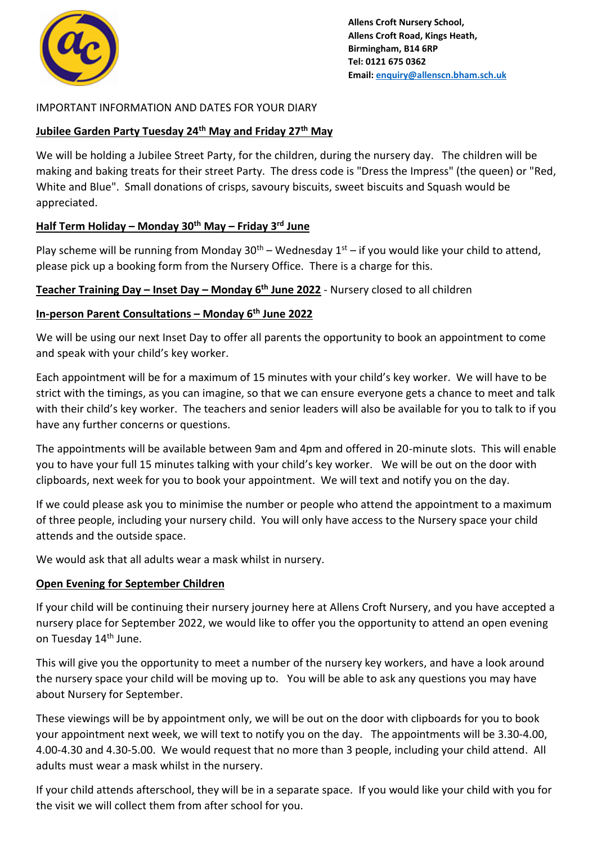

## IMPORTANT INFORMATION AND DATES FOR YOUR DIARY

### **Jubilee Garden Party Tuesday 24th May and Friday 27th May**

We will be holding a Jubilee Street Party, for the children, during the nursery day. The children will be making and baking treats for their street Party. The dress code is "Dress the Impress" (the queen) or "Red, White and Blue". Small donations of crisps, savoury biscuits, sweet biscuits and Squash would be appreciated.

# **Half Term Holiday – Monday 30th May – Friday 3rd June**

Play scheme will be running from Monday  $30<sup>th</sup>$  – Wednesday  $1<sup>st</sup>$  – if you would like your child to attend, please pick up a booking form from the Nursery Office. There is a charge for this.

**Teacher Training Day – Inset Day – Monday 6th June 2022** - Nursery closed to all children

## **In-person Parent Consultations – Monday 6th June 2022**

We will be using our next Inset Day to offer all parents the opportunity to book an appointment to come and speak with your child's key worker.

Each appointment will be for a maximum of 15 minutes with your child's key worker. We will have to be strict with the timings, as you can imagine, so that we can ensure everyone gets a chance to meet and talk with their child's key worker. The teachers and senior leaders will also be available for you to talk to if you have any further concerns or questions.

The appointments will be available between 9am and 4pm and offered in 20-minute slots. This will enable you to have your full 15 minutes talking with your child's key worker. We will be out on the door with clipboards, next week for you to book your appointment. We will text and notify you on the day.

If we could please ask you to minimise the number or people who attend the appointment to a maximum of three people, including your nursery child. You will only have access to the Nursery space your child attends and the outside space.

We would ask that all adults wear a mask whilst in nursery.

#### **Open Evening for September Children**

If your child will be continuing their nursery journey here at Allens Croft Nursery, and you have accepted a nursery place for September 2022, we would like to offer you the opportunity to attend an open evening on Tuesday 14<sup>th</sup> June.

This will give you the opportunity to meet a number of the nursery key workers, and have a look around the nursery space your child will be moving up to. You will be able to ask any questions you may have about Nursery for September.

These viewings will be by appointment only, we will be out on the door with clipboards for you to book your appointment next week, we will text to notify you on the day. The appointments will be 3.30-4.00, 4.00-4.30 and 4.30-5.00. We would request that no more than 3 people, including your child attend. All adults must wear a mask whilst in the nursery.

If your child attends afterschool, they will be in a separate space. If you would like your child with you for the visit we will collect them from after school for you.